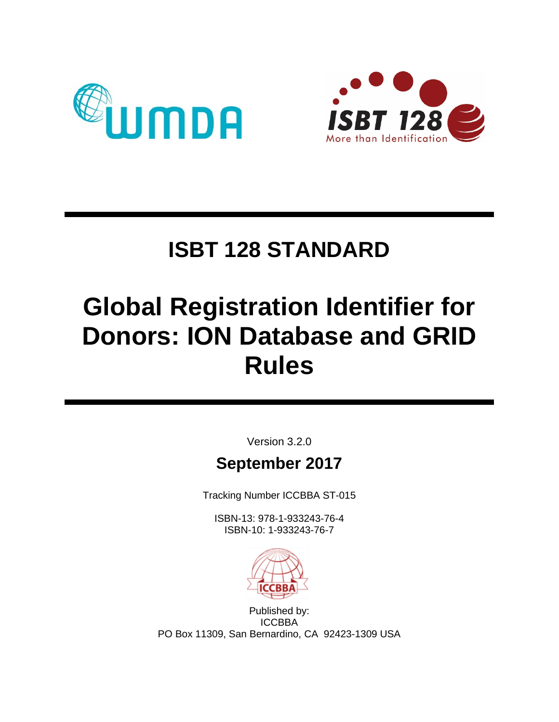



# **ISBT 128 STANDARD**

# **Global Registration Identifier for Donors: ION Database and GRID Rules**

Version 3.2.0

# **September 2017**

Tracking Number ICCBBA ST-015

ISBN-13: 978-1-933243-76-4 ISBN-10: 1-933243-76-7



Published by: ICCBBA PO Box 11309, San Bernardino, CA 92423-1309 USA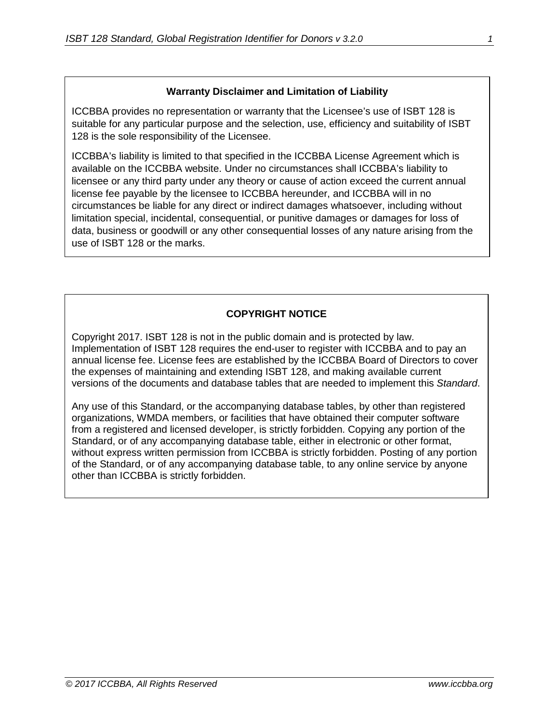#### **Warranty Disclaimer and Limitation of Liability**

ICCBBA provides no representation or warranty that the Licensee's use of ISBT 128 is suitable for any particular purpose and the selection, use, efficiency and suitability of ISBT 128 is the sole responsibility of the Licensee.

ICCBBA's liability is limited to that specified in the ICCBBA License Agreement which is available on the ICCBBA website. Under no circumstances shall ICCBBA's liability to licensee or any third party under any theory or cause of action exceed the current annual license fee payable by the licensee to ICCBBA hereunder, and ICCBBA will in no circumstances be liable for any direct or indirect damages whatsoever, including without limitation special, incidental, consequential, or punitive damages or damages for loss of data, business or goodwill or any other consequential losses of any nature arising from the use of ISBT 128 or the marks.

#### **COPYRIGHT NOTICE**

Copyright 2017. ISBT 128 is not in the public domain and is protected by law. Implementation of ISBT 128 requires the end-user to register with ICCBBA and to pay an annual license fee. License fees are established by the ICCBBA Board of Directors to cover the expenses of maintaining and extending ISBT 128, and making available current versions of the documents and database tables that are needed to implement this *Standard*.

Any use of this Standard, or the accompanying database tables, by other than registered organizations, WMDA members, or facilities that have obtained their computer software from a registered and licensed developer, is strictly forbidden. Copying any portion of the Standard, or of any accompanying database table, either in electronic or other format, without express written permission from ICCBBA is strictly forbidden. Posting of any portion of the Standard, or of any accompanying database table, to any online service by anyone other than ICCBBA is strictly forbidden.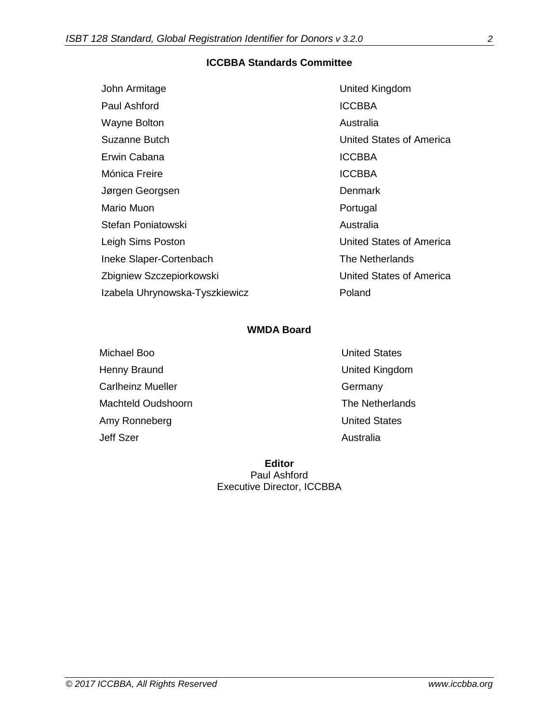#### **ICCBBA Standards Committee**

| John Armitage                  | United Kingdom           |
|--------------------------------|--------------------------|
| Paul Ashford                   | <b>ICCBBA</b>            |
| <b>Wayne Bolton</b>            | Australia                |
| Suzanne Butch                  | United States of America |
| Erwin Cabana                   | <b>ICCBBA</b>            |
| Mónica Freire                  | <b>ICCBBA</b>            |
| Jørgen Georgsen                | <b>Denmark</b>           |
| Mario Muon                     | Portugal                 |
| Stefan Poniatowski             | Australia                |
| Leigh Sims Poston              | United States of America |
| Ineke Slaper-Cortenbach        | The Netherlands          |
| Zbigniew Szczepiorkowski       | United States of America |
| Izabela Uhrynowska-Tyszkiewicz | Poland                   |

#### **WMDA Board**

Michael Boo **Nichael Boo** United States Henny Braund **National Community Community** United Kingdom Carlheinz Mueller **Germany** Machteld Oudshoorn **The Netherlands** Amy Ronneberg **Amy Ronneberg United States** Jeff Szer **Australia** 

**Editor** Paul Ashford Executive Director, ICCBBA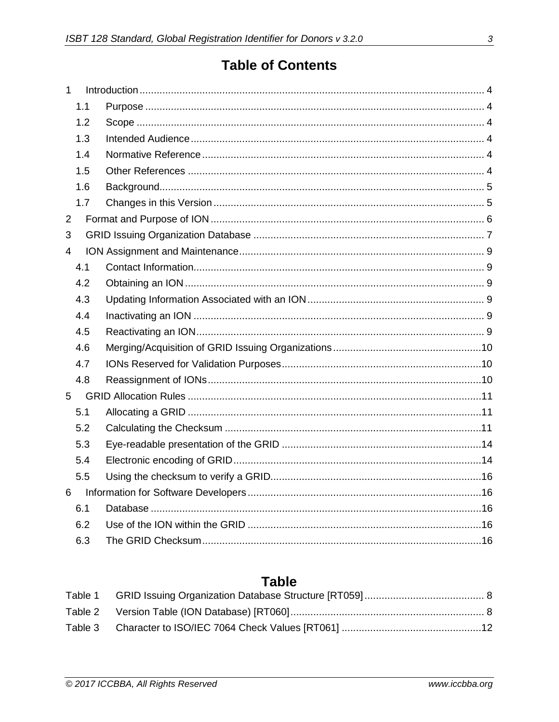## **Table of Contents**

| 1              |     |  |
|----------------|-----|--|
|                | 1.1 |  |
|                | 1.2 |  |
|                | 1.3 |  |
|                | 1.4 |  |
|                | 1.5 |  |
|                | 1.6 |  |
|                | 1.7 |  |
| $\overline{2}$ |     |  |
| 3              |     |  |
| 4              |     |  |
|                | 4.1 |  |
|                | 4.2 |  |
|                | 4.3 |  |
|                | 4.4 |  |
|                | 4.5 |  |
|                | 4.6 |  |
|                | 4.7 |  |
|                | 4.8 |  |
| 5              |     |  |
|                | 5.1 |  |
|                | 5.2 |  |
|                | 5.3 |  |
|                | 5.4 |  |
|                | 5.5 |  |
| 6              |     |  |
|                | 6.1 |  |
|                | 6.2 |  |
|                | 6.3 |  |

## **Table**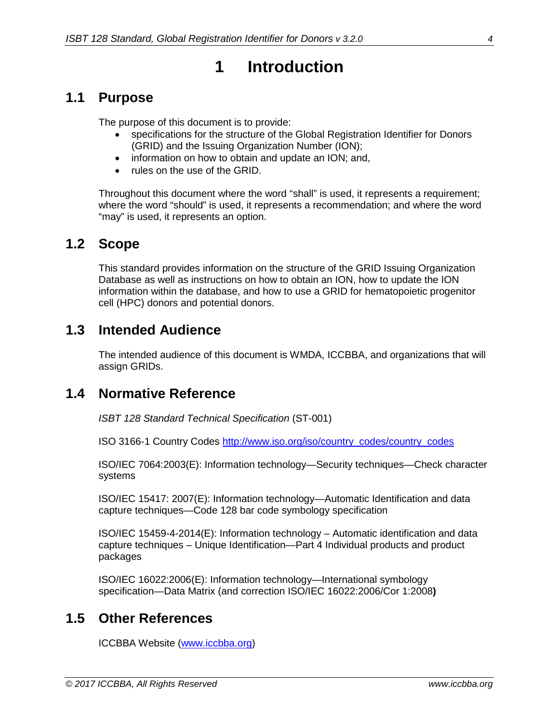## **1 Introduction**

#### <span id="page-4-1"></span><span id="page-4-0"></span>**1.1 Purpose**

The purpose of this document is to provide:

- specifications for the structure of the Global Registration Identifier for Donors (GRID) and the Issuing Organization Number (ION);
- information on how to obtain and update an ION; and,
- rules on the use of the GRID.

Throughout this document where the word "shall" is used, it represents a requirement; where the word "should" is used, it represents a recommendation; and where the word "may" is used, it represents an option.

#### <span id="page-4-2"></span>**1.2 Scope**

This standard provides information on the structure of the GRID Issuing Organization Database as well as instructions on how to obtain an ION, how to update the ION information within the database, and how to use a GRID for hematopoietic progenitor cell (HPC) donors and potential donors.

#### <span id="page-4-3"></span>**1.3 Intended Audience**

The intended audience of this document is WMDA, ICCBBA, and organizations that will assign GRIDs.

#### <span id="page-4-4"></span>**1.4 Normative Reference**

*ISBT 128 Standard Technical Specification* (ST-001)

ISO 3166-1 Country Codes [http://www.iso.org/iso/country\\_codes/country\\_codes](http://www.iso.org/iso/country_codes/country_codes)

ISO/IEC 7064:2003(E): Information technology—Security techniques—Check character systems

ISO/IEC 15417: 2007(E): Information technology—Automatic Identification and data capture techniques—Code 128 bar code symbology specification

ISO/IEC 15459-4-2014(E): Information technology – Automatic identification and data capture techniques – Unique Identification—Part 4 Individual products and product packages

ISO/IEC 16022:2006(E): Information technology—International symbology specification—Data Matrix (and correction ISO/IEC 16022:2006/Cor 1:2008**)**

#### <span id="page-4-5"></span>**1.5 Other References**

ICCBBA Website [\(www.iccbba.org\)](http://www.iccbba.org/)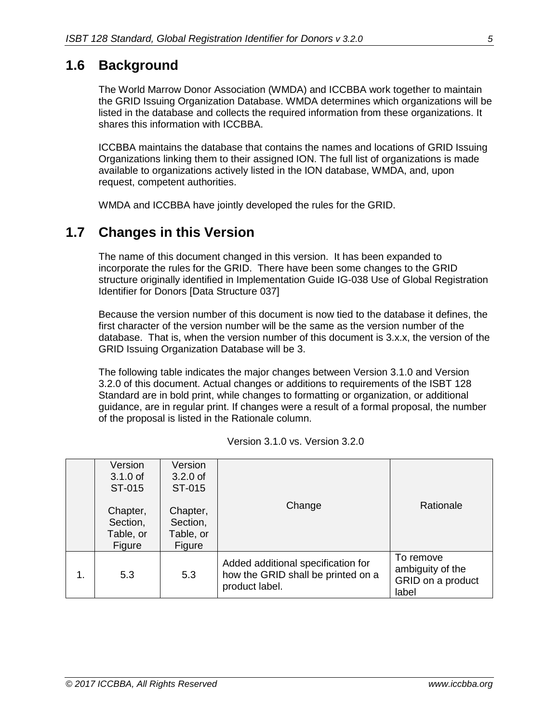## <span id="page-5-0"></span>**1.6 Background**

The World Marrow Donor Association (WMDA) and ICCBBA work together to maintain the GRID Issuing Organization Database. WMDA determines which organizations will be listed in the database and collects the required information from these organizations. It shares this information with ICCBBA.

ICCBBA maintains the database that contains the names and locations of GRID Issuing Organizations linking them to their assigned ION. The full list of organizations is made available to organizations actively listed in the ION database, WMDA, and, upon request, competent authorities.

WMDA and ICCBBA have jointly developed the rules for the GRID.

### <span id="page-5-1"></span>**1.7 Changes in this Version**

The name of this document changed in this version. It has been expanded to incorporate the rules for the GRID. There have been some changes to the GRID structure originally identified in Implementation Guide IG-038 Use of Global Registration Identifier for Donors [Data Structure 037]

Because the version number of this document is now tied to the database it defines, the first character of the version number will be the same as the version number of the database. That is, when the version number of this document is 3.x.x, the version of the GRID Issuing Organization Database will be 3.

The following table indicates the major changes between Version 3.1.0 and Version 3.2.0 of this document. Actual changes or additions to requirements of the ISBT 128 Standard are in bold print, while changes to formatting or organization, or additional guidance, are in regular print. If changes were a result of a formal proposal, the number of the proposal is listed in the Rationale column.

|    | Version<br>$3.1.0$ of<br>ST-015             | Version<br>$3.2.0$ of<br>ST-015             |                                                                                            |                                                             |  |  |  |
|----|---------------------------------------------|---------------------------------------------|--------------------------------------------------------------------------------------------|-------------------------------------------------------------|--|--|--|
|    | Chapter,<br>Section,<br>Table, or<br>Figure | Chapter,<br>Section,<br>Table, or<br>Figure | Change                                                                                     | Rationale                                                   |  |  |  |
| 1. | 5.3                                         | 5.3                                         | Added additional specification for<br>how the GRID shall be printed on a<br>product label. | To remove<br>ambiguity of the<br>GRID on a product<br>label |  |  |  |

| Version 3.1.0 vs. Version 3.2.0 |
|---------------------------------|
|---------------------------------|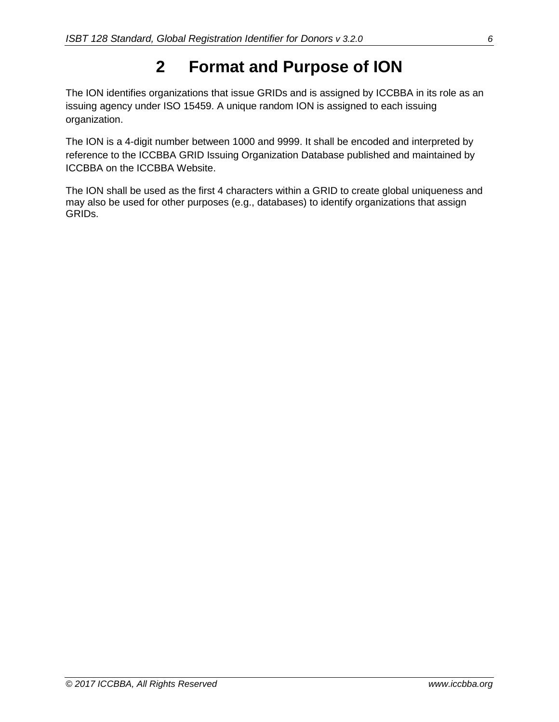# **2 Format and Purpose of ION**

<span id="page-6-0"></span>The ION identifies organizations that issue GRIDs and is assigned by ICCBBA in its role as an issuing agency under ISO 15459. A unique random ION is assigned to each issuing organization.

The ION is a 4-digit number between 1000 and 9999. It shall be encoded and interpreted by reference to the ICCBBA GRID Issuing Organization Database published and maintained by ICCBBA on the ICCBBA Website.

The ION shall be used as the first 4 characters within a GRID to create global uniqueness and may also be used for other purposes (e.g., databases) to identify organizations that assign GRIDs.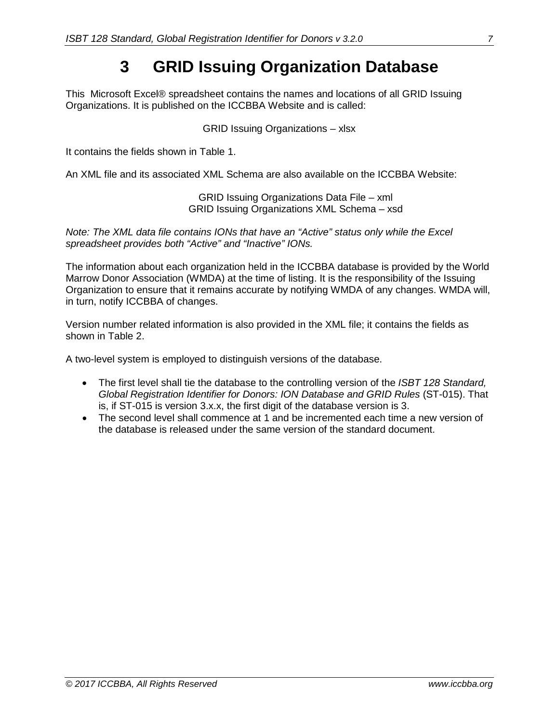## **3 GRID Issuing Organization Database**

<span id="page-7-0"></span>This Microsoft Excel® spreadsheet contains the names and locations of all GRID Issuing Organizations. It is published on the ICCBBA Website and is called:

GRID Issuing Organizations – xlsx

It contains the fields shown in [Table 1.](#page-8-0)

An XML file and its associated XML Schema are also available on the ICCBBA Website:

GRID Issuing Organizations Data File – xml GRID Issuing Organizations XML Schema – xsd

*Note: The XML data file contains IONs that have an "Active" status only while the Excel spreadsheet provides both "Active" and "Inactive" IONs.* 

The information about each organization held in the ICCBBA database is provided by the World Marrow Donor Association (WMDA) at the time of listing. It is the responsibility of the Issuing Organization to ensure that it remains accurate by notifying WMDA of any changes. WMDA will, in turn, notify ICCBBA of changes.

Version number related information is also provided in the XML file; it contains the fields as shown in [Table 2.](#page-8-1)

A two-level system is employed to distinguish versions of the database.

- The first level shall tie the database to the controlling version of the *ISBT 128 Standard, Global Registration Identifier for Donors: ION Database and GRID Rules* (ST-015). That is, if ST-015 is version 3.x.x, the first digit of the database version is 3.
- The second level shall commence at 1 and be incremented each time a new version of the database is released under the same version of the standard document.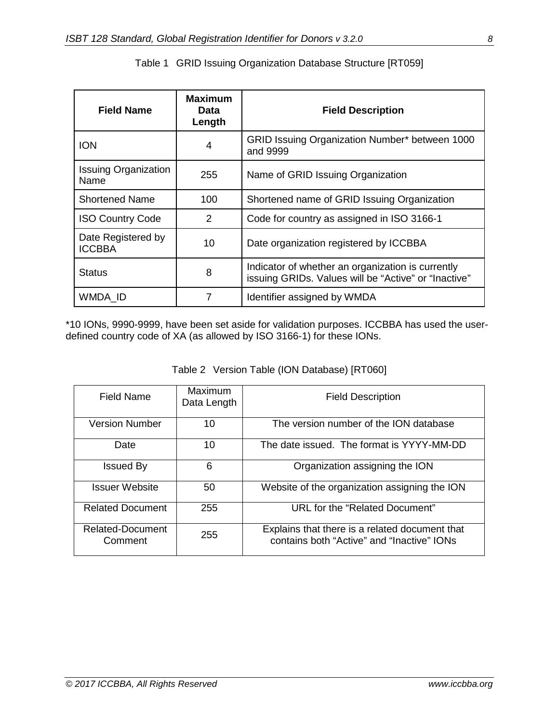<span id="page-8-0"></span>

| <b>Field Name</b>                   | <b>Maximum</b><br>Data<br>Length | <b>Field Description</b>                                                                                  |
|-------------------------------------|----------------------------------|-----------------------------------------------------------------------------------------------------------|
| <b>ION</b>                          | 4                                | GRID Issuing Organization Number* between 1000<br>and 9999                                                |
| <b>Issuing Organization</b><br>Name | 255                              | Name of GRID Issuing Organization                                                                         |
| <b>Shortened Name</b>               | 100                              | Shortened name of GRID Issuing Organization                                                               |
| <b>ISO Country Code</b>             | 2                                | Code for country as assigned in ISO 3166-1                                                                |
| Date Registered by<br><b>ICCBBA</b> | 10                               | Date organization registered by ICCBBA                                                                    |
| <b>Status</b>                       | 8                                | Indicator of whether an organization is currently<br>issuing GRIDs. Values will be "Active" or "Inactive" |
| WMDA ID                             | 7                                | Identifier assigned by WMDA                                                                               |

\*10 IONs, 9990-9999, have been set aside for validation purposes. ICCBBA has used the userdefined country code of XA (as allowed by ISO 3166-1) for these IONs.

|  |  |  |  | Table 2 Version Table (ION Database) [RT060] |  |
|--|--|--|--|----------------------------------------------|--|
|--|--|--|--|----------------------------------------------|--|

<span id="page-8-1"></span>

| Field Name                  | Maximum<br>Data Length | <b>Field Description</b>                                                                     |
|-----------------------------|------------------------|----------------------------------------------------------------------------------------------|
| <b>Version Number</b>       | 10                     | The version number of the ION database                                                       |
| Date                        | 10                     | The date issued. The format is YYYY-MM-DD                                                    |
| Issued By                   | 6                      | Organization assigning the ION                                                               |
| Issuer Website              | 50                     | Website of the organization assigning the ION                                                |
| <b>Related Document</b>     | 255                    | URL for the "Related Document"                                                               |
| Related-Document<br>Comment | 255                    | Explains that there is a related document that<br>contains both "Active" and "Inactive" IONs |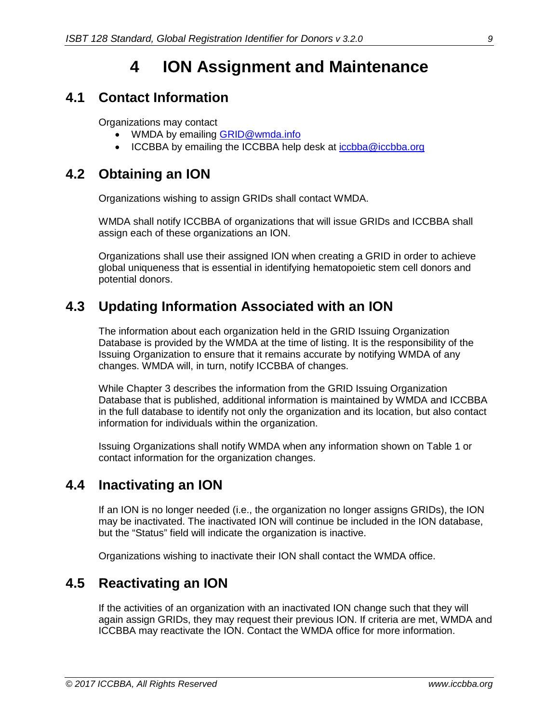## **4 ION Assignment and Maintenance**

#### <span id="page-9-1"></span><span id="page-9-0"></span>**4.1 Contact Information**

Organizations may contact

- WMDA by emailing **GRID@wmda.info**
- ICCBBA by emailing the ICCBBA help desk at [iccbba@iccbba.org](mailto:iccbba@iccbba.org)

#### <span id="page-9-2"></span>**4.2 Obtaining an ION**

Organizations wishing to assign GRIDs shall contact WMDA.

WMDA shall notify ICCBBA of organizations that will issue GRIDs and ICCBBA shall assign each of these organizations an ION.

Organizations shall use their assigned ION when creating a GRID in order to achieve global uniqueness that is essential in identifying hematopoietic stem cell donors and potential donors.

#### <span id="page-9-3"></span>**4.3 Updating Information Associated with an ION**

The information about each organization held in the GRID Issuing Organization Database is provided by the WMDA at the time of listing. It is the responsibility of the Issuing Organization to ensure that it remains accurate by notifying WMDA of any changes. WMDA will, in turn, notify ICCBBA of changes.

While Chapter [3](#page-7-0) describes the information from the GRID Issuing Organization Database that is published, additional information is maintained by WMDA and ICCBBA in the full database to identify not only the organization and its location, but also contact information for individuals within the organization.

Issuing Organizations shall notify WMDA when any information shown on [Table 1](#page-8-0) or contact information for the organization changes.

### <span id="page-9-4"></span>**4.4 Inactivating an ION**

If an ION is no longer needed (i.e., the organization no longer assigns GRIDs), the ION may be inactivated. The inactivated ION will continue be included in the ION database, but the "Status" field will indicate the organization is inactive.

Organizations wishing to inactivate their ION shall contact the WMDA office.

### <span id="page-9-5"></span>**4.5 Reactivating an ION**

If the activities of an organization with an inactivated ION change such that they will again assign GRIDs, they may request their previous ION. If criteria are met, WMDA and ICCBBA may reactivate the ION. Contact the WMDA office for more information.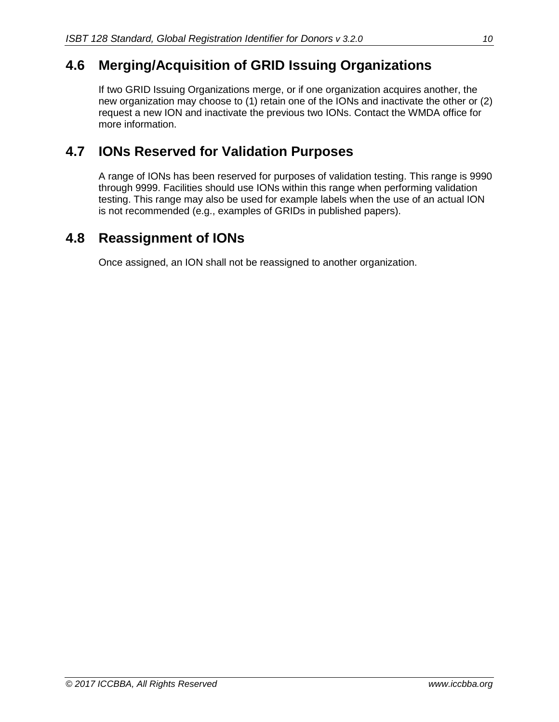### <span id="page-10-0"></span>**4.6 Merging/Acquisition of GRID Issuing Organizations**

If two GRID Issuing Organizations merge, or if one organization acquires another, the new organization may choose to (1) retain one of the IONs and inactivate the other or (2) request a new ION and inactivate the previous two IONs. Contact the WMDA office for more information.

### <span id="page-10-1"></span>**4.7 IONs Reserved for Validation Purposes**

A range of IONs has been reserved for purposes of validation testing. This range is 9990 through 9999. Facilities should use IONs within this range when performing validation testing. This range may also be used for example labels when the use of an actual ION is not recommended (e.g., examples of GRIDs in published papers).

### <span id="page-10-2"></span>**4.8 Reassignment of IONs**

Once assigned, an ION shall not be reassigned to another organization.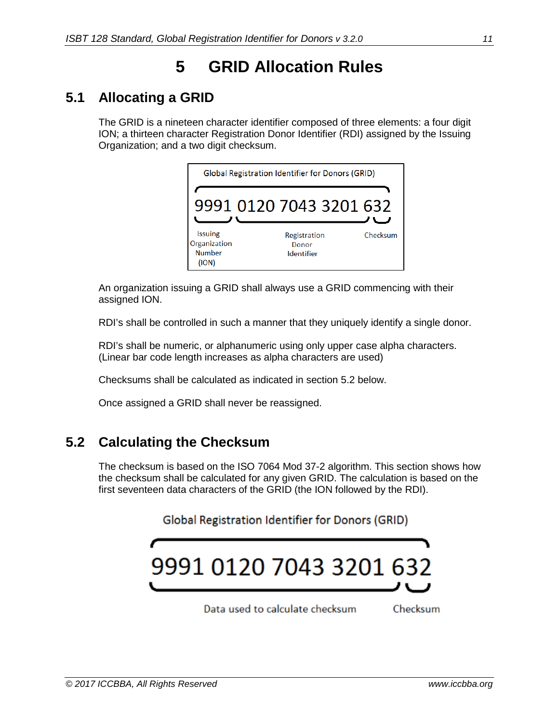# **5 GRID Allocation Rules**

### <span id="page-11-1"></span><span id="page-11-0"></span>**5.1 Allocating a GRID**

The GRID is a nineteen character identifier composed of three elements: a four digit ION; a thirteen character Registration Donor Identifier (RDI) assigned by the Issuing Organization; and a two digit checksum.

| Global Registration Identifier for Donors (GRID)         |                                            |          |  |  |  |  |  |
|----------------------------------------------------------|--------------------------------------------|----------|--|--|--|--|--|
| 9991 0120 7043 3201 632                                  |                                            |          |  |  |  |  |  |
| <b>Issuing</b><br>Organization<br><b>Number</b><br>(ION) | Registration<br>Donor<br><b>Identifier</b> | Checksum |  |  |  |  |  |

An organization issuing a GRID shall always use a GRID commencing with their assigned ION.

RDI's shall be controlled in such a manner that they uniquely identify a single donor.

RDI's shall be numeric, or alphanumeric using only upper case alpha characters. (Linear bar code length increases as alpha characters are used)

Checksums shall be calculated as indicated in section [5.2](#page-11-2) below.

Once assigned a GRID shall never be reassigned.

### <span id="page-11-2"></span>**5.2 Calculating the Checksum**

The checksum is based on the ISO 7064 Mod 37-2 algorithm. This section shows how the checksum shall be calculated for any given GRID. The calculation is based on the first seventeen data characters of the GRID (the ION followed by the RDI).

#### Global Registration Identifier for Donors (GRID)



Data used to calculate checksum Checksum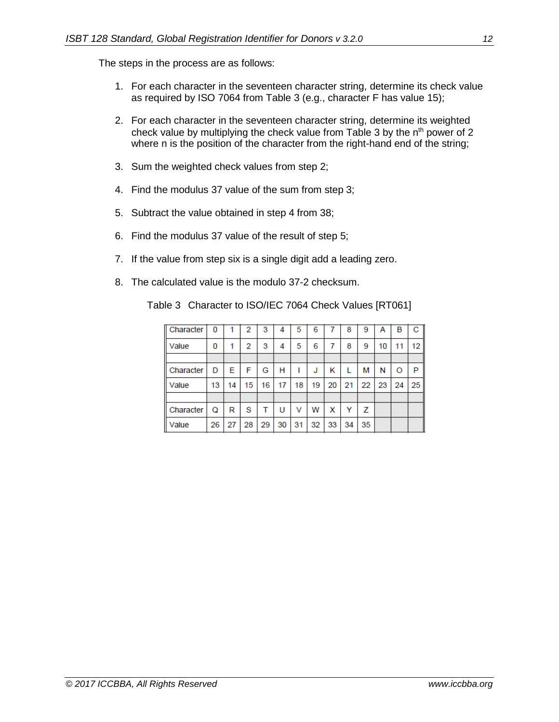The steps in the process are as follows:

- 1. For each character in the seventeen character string, determine its check value as required by ISO 7064 from [Table 3](#page-12-0) (e.g., character F has value 15);
- 2. For each character in the seventeen character string, determine its weighted check value by multiplying the check value from [Table 3](#page-12-0) by the n<sup>th</sup> power of 2 where n is the position of the character from the right-hand end of the string;
- 3. Sum the weighted check values from step 2;
- 4. Find the modulus 37 value of the sum from step 3;
- 5. Subtract the value obtained in step 4 from 38;
- 6. Find the modulus 37 value of the result of step 5;
- 7. If the value from step six is a single digit add a leading zero.
- <span id="page-12-0"></span>8. The calculated value is the modulo 37-2 checksum.

Table 3 Character to ISO/IEC 7064 Check Values [RT061]

| Character | 0  |    | 2  | 3  | 4  | 5  | 6  |    | 8  | 9  | А  | В  | с  |
|-----------|----|----|----|----|----|----|----|----|----|----|----|----|----|
| Value     | 0  |    | 2  | 3  | 4  | 5  | 6  | 7  | 8  | 9  | 10 | 11 | 12 |
|           |    |    |    |    |    |    |    |    |    |    |    |    |    |
| Character | D  | Е  | F  | G  | н  |    | J  | κ  |    | м  | N  | O  | P  |
| Value     | 13 | 14 | 15 | 16 | 17 | 18 | 19 | 20 | 21 | 22 | 23 | 24 | 25 |
|           |    |    |    |    |    |    |    |    |    |    |    |    |    |
| Character | Q  | R  | s  |    | U  | ν  | w  | х  | Y  | z  |    |    |    |
| Value     | 26 | 27 | 28 | 29 | 30 | 31 | 32 | 33 | 34 | 35 |    |    |    |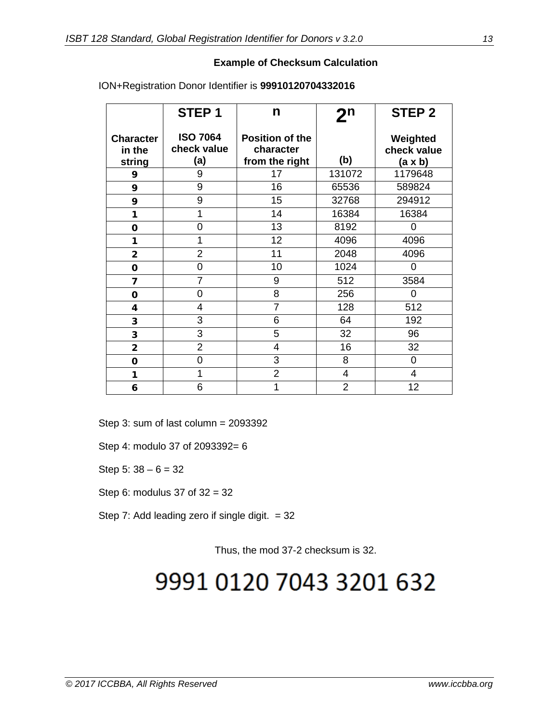#### **Example of Checksum Calculation**

|                                      | STEP <sub>1</sub>                     | n                                                     | $\mathbf{2^n}$ | STEP <sub>2</sub>                         |
|--------------------------------------|---------------------------------------|-------------------------------------------------------|----------------|-------------------------------------------|
| <b>Character</b><br>in the<br>string | <b>ISO 7064</b><br>check value<br>(a) | <b>Position of the</b><br>character<br>from the right | (b)            | Weighted<br>check value<br>$(a \times b)$ |
| 9                                    | 9                                     | 17                                                    | 131072         | 1179648                                   |
| 9                                    | 9                                     | 16                                                    | 65536          | 589824                                    |
| 9                                    | 9                                     | 15                                                    | 32768          | 294912                                    |
| 1                                    | 1                                     | 14                                                    | 16384          | 16384                                     |
| 0                                    | 0                                     | 13                                                    | 8192           | 0                                         |
| 1                                    | 1                                     | 12                                                    | 4096           | 4096                                      |
| $\overline{2}$                       | $\overline{2}$                        | 11                                                    | 2048           | 4096                                      |
| $\mathbf 0$                          | 0                                     | 10                                                    | 1024           | $\Omega$                                  |
| 7                                    | $\overline{7}$                        | 9                                                     | 512            | 3584                                      |
| $\mathbf 0$                          | 0                                     | 8                                                     | 256            | $\overline{0}$                            |
| 4                                    | 4                                     | $\overline{7}$                                        | 128            | 512                                       |
| 3                                    | 3                                     | 6                                                     | 64             | 192                                       |
| 3                                    | 3                                     | 5                                                     | 32             | 96                                        |
| $\overline{\mathbf{2}}$              | $\overline{2}$                        | 4                                                     | 16             | 32                                        |
| 0                                    | 0                                     | 3                                                     | 8              | 0                                         |
| 1                                    | 1                                     | $\overline{2}$                                        | 4              | $\overline{4}$                            |
| 6                                    | 6                                     | 1                                                     | $\overline{2}$ | 12                                        |

ION+Registration Donor Identifier is **99910120704332016**

Step 3: sum of last column = 2093392

Step 4: modulo 37 of 2093392= 6

Step 5:  $38 - 6 = 32$ 

Step 6: modulus 37 of 32 = 32

Step 7: Add leading zero if single digit.  $= 32$ 

Thus, the mod 37-2 checksum is 32.

# 9991 0120 7043 3201 632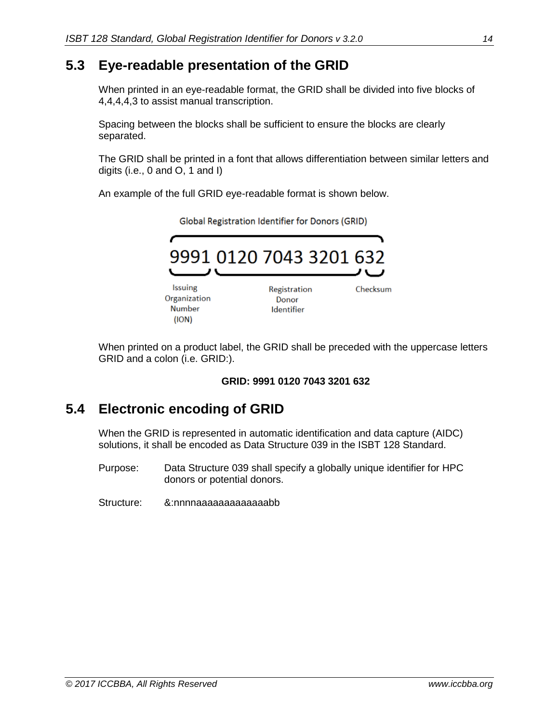#### <span id="page-14-0"></span>**5.3 Eye-readable presentation of the GRID**

When printed in an eye-readable format, the GRID shall be divided into five blocks of 4,4,4,4,3 to assist manual transcription.

Spacing between the blocks shall be sufficient to ensure the blocks are clearly separated.

The GRID shall be printed in a font that allows differentiation between similar letters and digits (i.e., 0 and O, 1 and I)

An example of the full GRID eye-readable format is shown below.

|                                                          | 9991 0120 7043 3201 632             |          |
|----------------------------------------------------------|-------------------------------------|----------|
| <b>Issuing</b><br>Organization<br><b>Number</b><br>(ION) | Registration<br>Donor<br>Identifier | Checksum |

Global Registration Identifier for Donors (GRID)

When printed on a product label, the GRID shall be preceded with the uppercase letters GRID and a colon (i.e. GRID:).

#### **GRID: 9991 0120 7043 3201 632**

### <span id="page-14-1"></span>**5.4 Electronic encoding of GRID**

When the GRID is represented in automatic identification and data capture (AIDC) solutions, it shall be encoded as Data Structure 039 in the ISBT 128 Standard.

- Purpose: Data Structure 039 shall specify a globally unique identifier for HPC donors or potential donors.
- Structure: &:nnnnaaaaaaaaaaaaabb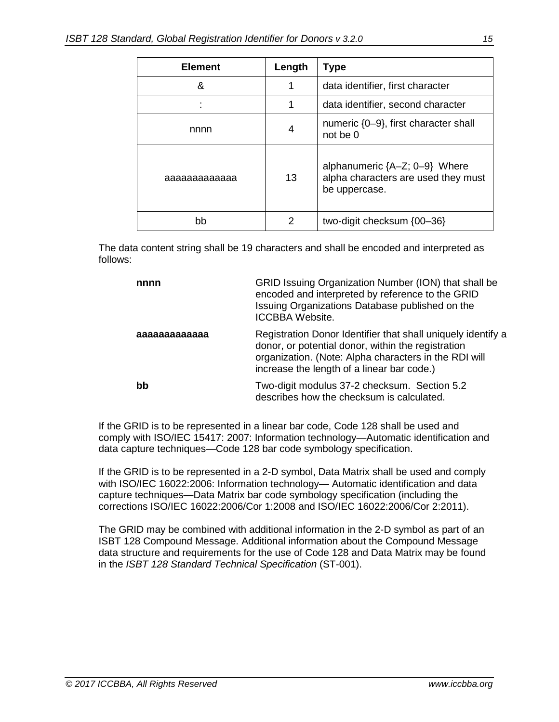| <b>Element</b> | Length | <b>Type</b>                                                                             |
|----------------|--------|-----------------------------------------------------------------------------------------|
| &              | 1      | data identifier, first character                                                        |
|                | 1      | data identifier, second character                                                       |
| nnnn           | 4      | numeric {0-9}, first character shall<br>not be 0                                        |
| aaaaaaaaaaaa   | 13     | alphanumeric ${A-Z; 0-9}$ Where<br>alpha characters are used they must<br>be uppercase. |
| bb             | 2      | two-digit checksum {00-36}                                                              |

The data content string shall be 19 characters and shall be encoded and interpreted as follows:

| nnnn         | GRID Issuing Organization Number (ION) that shall be<br>encoded and interpreted by reference to the GRID<br>Issuing Organizations Database published on the<br>ICCBBA Website.                                            |
|--------------|---------------------------------------------------------------------------------------------------------------------------------------------------------------------------------------------------------------------------|
| aaaaaaaaaaaa | Registration Donor Identifier that shall uniquely identify a<br>donor, or potential donor, within the registration<br>organization. (Note: Alpha characters in the RDI will<br>increase the length of a linear bar code.) |
| bb           | Two-digit modulus 37-2 checksum. Section 5.2<br>describes how the checksum is calculated.                                                                                                                                 |

If the GRID is to be represented in a linear bar code, Code 128 shall be used and comply with ISO/IEC 15417: 2007: Information technology—Automatic identification and data capture techniques—Code 128 bar code symbology specification.

If the GRID is to be represented in a 2-D symbol, Data Matrix shall be used and comply with ISO/IEC 16022:2006: Information technology— Automatic identification and data capture techniques—Data Matrix bar code symbology specification (including the corrections ISO/IEC 16022:2006/Cor 1:2008 and ISO/IEC 16022:2006/Cor 2:2011).

The GRID may be combined with additional information in the 2-D symbol as part of an ISBT 128 Compound Message. Additional information about the Compound Message data structure and requirements for the use of Code 128 and Data Matrix may be found in the *ISBT 128 Standard Technical Specification* (ST-001).